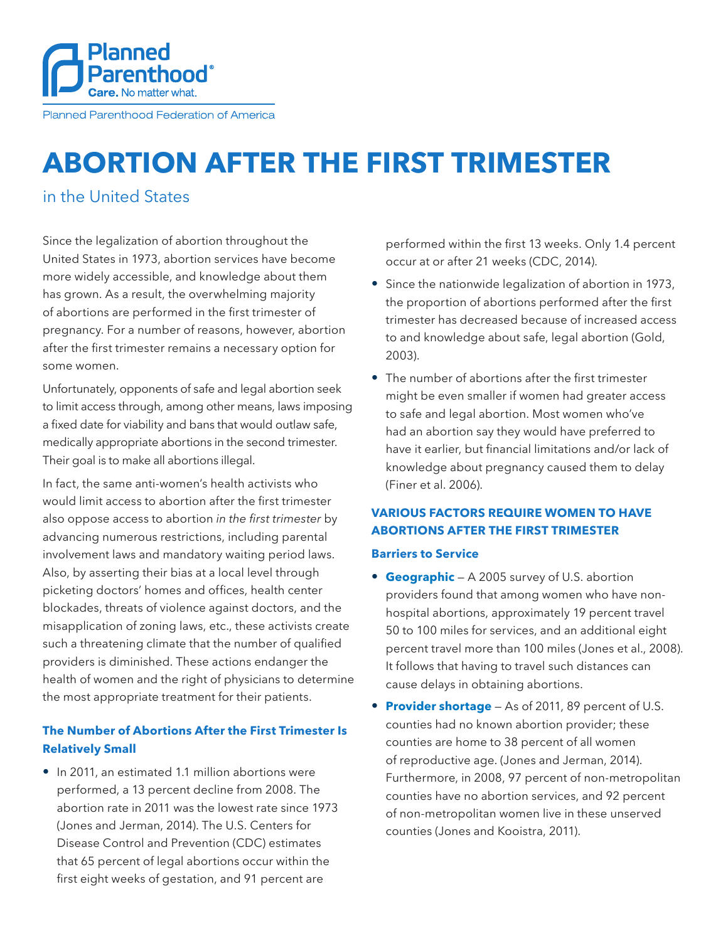

Planned Parenthood Federation of America

# **ABORTION AFTER THE FIRST TRIMESTER**

## in the United States

Since the legalization of abortion throughout the United States in 1973, abortion services have become more widely accessible, and knowledge about them has grown. As a result, the overwhelming majority of abortions are performed in the first trimester of pregnancy. For a number of reasons, however, abortion after the first trimester remains a necessary option for some women.

Unfortunately, opponents of safe and legal abortion seek to limit access through, among other means, laws imposing a fixed date for viability and bans that would outlaw safe, medically appropriate abortions in the second trimester. Their goal is to make all abortions illegal.

In fact, the same anti-women's health activists who would limit access to abortion after the first trimester also oppose access to abortion *in the first trimester* by advancing numerous restrictions, including parental involvement laws and mandatory waiting period laws. Also, by asserting their bias at a local level through picketing doctors' homes and offices, health center blockades, threats of violence against doctors, and the misapplication of zoning laws, etc., these activists create such a threatening climate that the number of qualified providers is diminished. These actions endanger the health of women and the right of physicians to determine the most appropriate treatment for their patients.

## **The Number of Abortions After the First Trimester Is Relatively Small**

• In 2011, an estimated 1.1 million abortions were performed, a 13 percent decline from 2008. The abortion rate in 2011 was the lowest rate since 1973 (Jones and Jerman, 2014). The U.S. Centers for Disease Control and Prevention (CDC) estimates that 65 percent of legal abortions occur within the first eight weeks of gestation, and 91 percent are

performed within the first 13 weeks. Only 1.4 percent occur at or after 21 weeks (CDC, 2014).

- Since the nationwide legalization of abortion in 1973, the proportion of abortions performed after the first trimester has decreased because of increased access to and knowledge about safe, legal abortion (Gold, 2003).
- The number of abortions after the first trimester might be even smaller if women had greater access to safe and legal abortion. Most women who've had an abortion say they would have preferred to have it earlier, but financial limitations and/or lack of knowledge about pregnancy caused them to delay (Finer et al. 2006).

## **VARIOUS FACTORS REQUIRE WOMEN TO HAVE ABORTIONS AFTER THE FIRST TRIMESTER**

#### **Barriers to Service**

- **Geographic** A 2005 survey of U.S. abortion providers found that among women who have nonhospital abortions, approximately 19 percent travel 50 to 100 miles for services, and an additional eight percent travel more than 100 miles (Jones et al., 2008). It follows that having to travel such distances can cause delays in obtaining abortions.
- **Provider shortage** As of 2011, 89 percent of U.S. counties had no known abortion provider; these counties are home to 38 percent of all women of reproductive age. (Jones and Jerman, 2014). Furthermore, in 2008, 97 percent of non-metropolitan counties have no abortion services, and 92 percent of non-metropolitan women live in these unserved counties (Jones and Kooistra, 2011).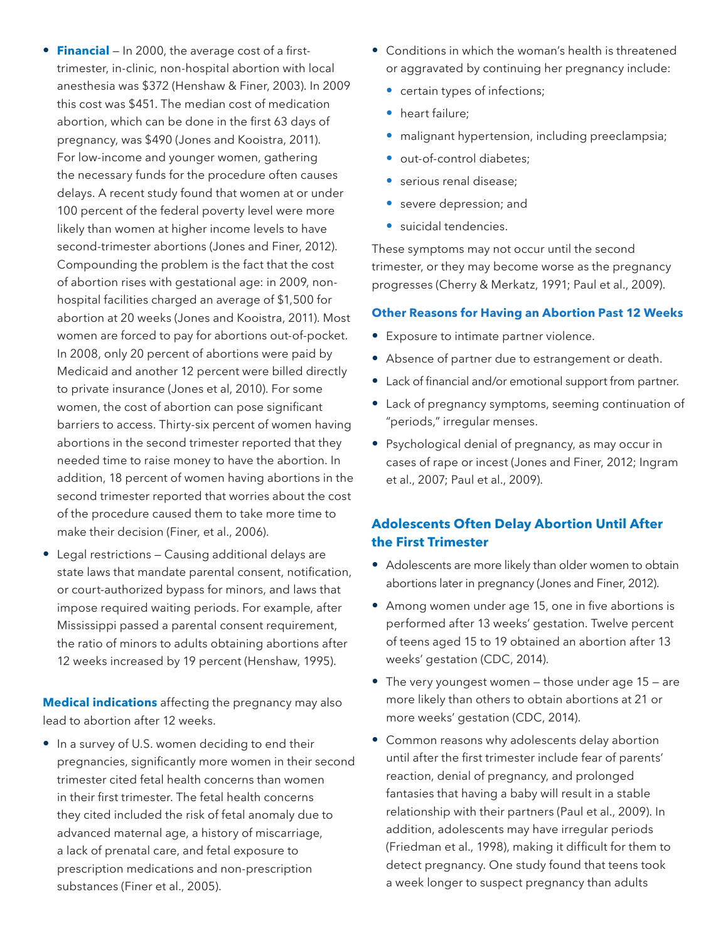- **Financial** In 2000, the average cost of a firsttrimester, in-clinic, non-hospital abortion with local anesthesia was \$372 (Henshaw & Finer, 2003). In 2009 this cost was \$451. The median cost of medication abortion, which can be done in the first 63 days of pregnancy, was \$490 (Jones and Kooistra, 2011). For low-income and younger women, gathering the necessary funds for the procedure often causes delays. A recent study found that women at or under 100 percent of the federal poverty level were more likely than women at higher income levels to have second-trimester abortions (Jones and Finer, 2012). Compounding the problem is the fact that the cost of abortion rises with gestational age: in 2009, nonhospital facilities charged an average of \$1,500 for abortion at 20 weeks (Jones and Kooistra, 2011). Most women are forced to pay for abortions out-of-pocket. In 2008, only 20 percent of abortions were paid by Medicaid and another 12 percent were billed directly to private insurance (Jones et al, 2010). For some women, the cost of abortion can pose significant barriers to access. Thirty-six percent of women having abortions in the second trimester reported that they needed time to raise money to have the abortion. In addition, 18 percent of women having abortions in the second trimester reported that worries about the cost of the procedure caused them to take more time to make their decision (Finer, et al., 2006).
- Legal restrictions Causing additional delays are state laws that mandate parental consent, notification, or court-authorized bypass for minors, and laws that impose required waiting periods. For example, after Mississippi passed a parental consent requirement, the ratio of minors to adults obtaining abortions after 12 weeks increased by 19 percent (Henshaw, 1995).

**Medical indications** affecting the pregnancy may also lead to abortion after 12 weeks.

• In a survey of U.S. women deciding to end their pregnancies, significantly more women in their second trimester cited fetal health concerns than women in their first trimester. The fetal health concerns they cited included the risk of fetal anomaly due to advanced maternal age, a history of miscarriage, a lack of prenatal care, and fetal exposure to prescription medications and non-prescription substances (Finer et al., 2005).

- Conditions in which the woman's health is threatened or aggravated by continuing her pregnancy include:
	- certain types of infections;
	- heart failure:
	- malignant hypertension, including preeclampsia;
	- out-of-control diabetes;
	- serious renal disease;
	- severe depression; and
	- suicidal tendencies.

These symptoms may not occur until the second trimester, or they may become worse as the pregnancy progresses (Cherry & Merkatz, 1991; Paul et al., 2009).

## **Other Reasons for Having an Abortion Past 12 Weeks**

- Exposure to intimate partner violence.
- Absence of partner due to estrangement or death.
- Lack of financial and/or emotional support from partner.
- Lack of pregnancy symptoms, seeming continuation of "periods," irregular menses.
- Psychological denial of pregnancy, as may occur in cases of rape or incest (Jones and Finer, 2012; Ingram et al., 2007; Paul et al., 2009).

## **Adolescents Often Delay Abortion Until After the First Trimester**

- Adolescents are more likely than older women to obtain abortions later in pregnancy (Jones and Finer, 2012).
- Among women under age 15, one in five abortions is performed after 13 weeks' gestation. Twelve percent of teens aged 15 to 19 obtained an abortion after 13 weeks' gestation (CDC, 2014).
- The very youngest women  $-$  those under age 15  $-$  are more likely than others to obtain abortions at 21 or more weeks' gestation (CDC, 2014).
- Common reasons why adolescents delay abortion until after the first trimester include fear of parents' reaction, denial of pregnancy, and prolonged fantasies that having a baby will result in a stable relationship with their partners (Paul et al., 2009). In addition, adolescents may have irregular periods (Friedman et al., 1998), making it difficult for them to detect pregnancy. One study found that teens took a week longer to suspect pregnancy than adults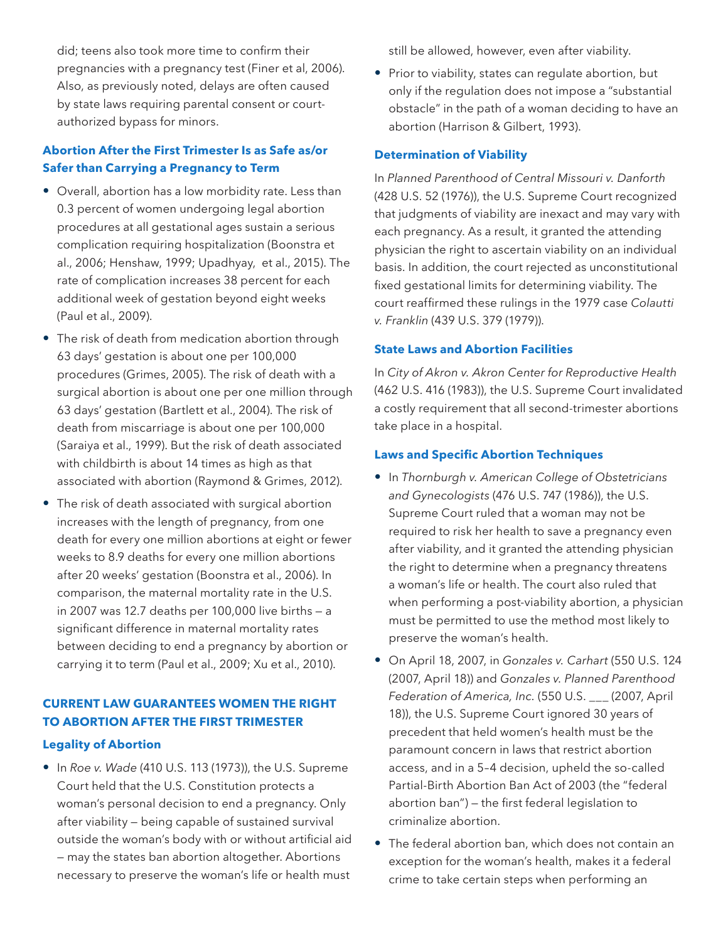did; teens also took more time to confirm their pregnancies with a pregnancy test (Finer et al, 2006). Also, as previously noted, delays are often caused by state laws requiring parental consent or courtauthorized bypass for minors.

## **Abortion After the First Trimester Is as Safe as/or Safer than Carrying a Pregnancy to Term**

- Overall, abortion has a low morbidity rate. Less than 0.3 percent of women undergoing legal abortion procedures at all gestational ages sustain a serious complication requiring hospitalization (Boonstra et al., 2006; Henshaw, 1999; Upadhyay, et al., 2015). The rate of complication increases 38 percent for each additional week of gestation beyond eight weeks (Paul et al., 2009).
- The risk of death from medication abortion through 63 days' gestation is about one per 100,000 procedures (Grimes, 2005). The risk of death with a surgical abortion is about one per one million through 63 days' gestation (Bartlett et al., 2004). The risk of death from miscarriage is about one per 100,000 (Saraiya et al., 1999). But the risk of death associated with childbirth is about 14 times as high as that associated with abortion (Raymond & Grimes, 2012).
- The risk of death associated with surgical abortion increases with the length of pregnancy, from one death for every one million abortions at eight or fewer weeks to 8.9 deaths for every one million abortions after 20 weeks' gestation (Boonstra et al., 2006). In comparison, the maternal mortality rate in the U.S. in 2007 was 12.7 deaths per 100,000 live births — a significant difference in maternal mortality rates between deciding to end a pregnancy by abortion or carrying it to term (Paul et al., 2009; Xu et al., 2010).

## **CURRENT LAW GUARANTEES WOMEN THE RIGHT TO ABORTION AFTER THE FIRST TRIMESTER**

#### **Legality of Abortion**

• In *Roe v. Wade* (410 U.S. 113 (1973)), the U.S. Supreme Court held that the U.S. Constitution protects a woman's personal decision to end a pregnancy. Only after viability — being capable of sustained survival outside the woman's body with or without artificial aid — may the states ban abortion altogether. Abortions necessary to preserve the woman's life or health must still be allowed, however, even after viability.

• Prior to viability, states can regulate abortion, but only if the regulation does not impose a "substantial obstacle" in the path of a woman deciding to have an abortion (Harrison & Gilbert, 1993).

#### **Determination of Viability**

In *Planned Parenthood of Central Missouri v. Danforth* (428 U.S. 52 (1976)), the U.S. Supreme Court recognized that judgments of viability are inexact and may vary with each pregnancy. As a result, it granted the attending physician the right to ascertain viability on an individual basis. In addition, the court rejected as unconstitutional fixed gestational limits for determining viability. The court reaffirmed these rulings in the 1979 case *Colautti v. Franklin* (439 U.S. 379 (1979)).

#### **State Laws and Abortion Facilities**

In *City of Akron v. Akron Center for Reproductive Health*  (462 U.S. 416 (1983)), the U.S. Supreme Court invalidated a costly requirement that all second-trimester abortions take place in a hospital.

#### **Laws and Specific Abortion Techniques**

- • In *Thornburgh v. American College of Obstetricians and Gynecologists* (476 U.S. 747 (1986)), the U.S. Supreme Court ruled that a woman may not be required to risk her health to save a pregnancy even after viability, and it granted the attending physician the right to determine when a pregnancy threatens a woman's life or health. The court also ruled that when performing a post-viability abortion, a physician must be permitted to use the method most likely to preserve the woman's health.
- • On April 18, 2007, in *Gonzales v. Carhart* (550 U.S. 124 (2007, April 18)) and *Gonzales v. Planned Parenthood Federation of America, Inc.* (550 U.S. \_\_\_ (2007, April 18)), the U.S. Supreme Court ignored 30 years of precedent that held women's health must be the paramount concern in laws that restrict abortion access, and in a 5–4 decision, upheld the so-called Partial-Birth Abortion Ban Act of 2003 (the "federal abortion ban") — the first federal legislation to criminalize abortion.
- The federal abortion ban, which does not contain an exception for the woman's health, makes it a federal crime to take certain steps when performing an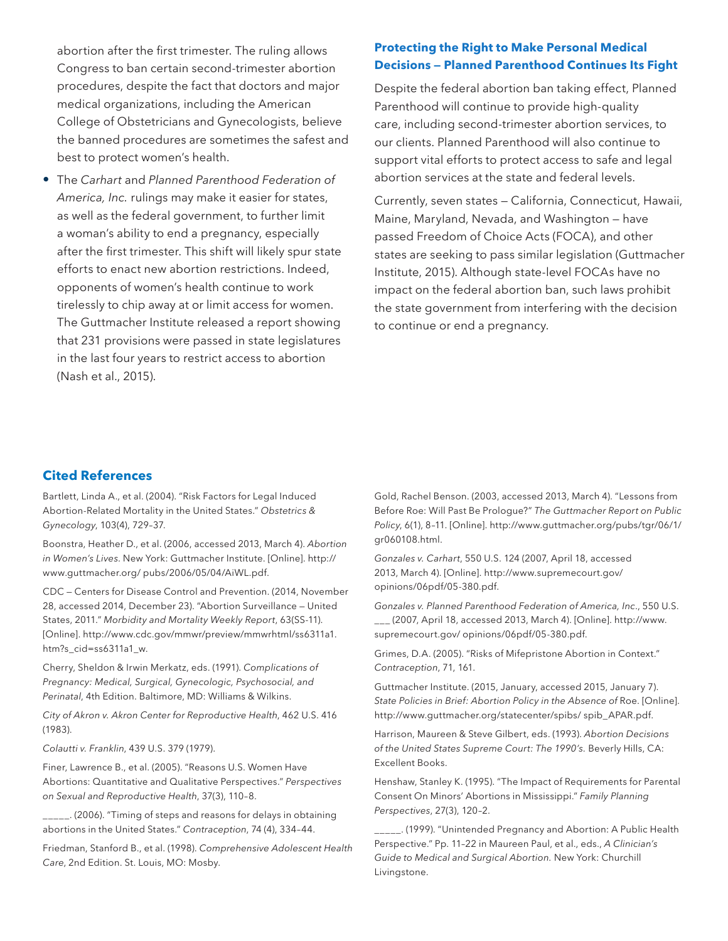abortion after the first trimester. The ruling allows Congress to ban certain second-trimester abortion procedures, despite the fact that doctors and major medical organizations, including the American College of Obstetricians and Gynecologists, believe the banned procedures are sometimes the safest and best to protect women's health.

• The *Carhart* and *Planned Parenthood Federation of America, Inc.* rulings may make it easier for states, as well as the federal government, to further limit a woman's ability to end a pregnancy, especially after the first trimester. This shift will likely spur state efforts to enact new abortion restrictions. Indeed, opponents of women's health continue to work tirelessly to chip away at or limit access for women. The Guttmacher Institute released a report showing that 231 provisions were passed in state legislatures in the last four years to restrict access to abortion (Nash et al., 2015).

## **Protecting the Right to Make Personal Medical Decisions — Planned Parenthood Continues Its Fight**

Despite the federal abortion ban taking effect, Planned Parenthood will continue to provide high-quality care, including second-trimester abortion services, to our clients. Planned Parenthood will also continue to support vital efforts to protect access to safe and legal abortion services at the state and federal levels.

Currently, seven states — California, Connecticut, Hawaii, Maine, Maryland, Nevada, and Washington — have passed Freedom of Choice Acts (FOCA), and other states are seeking to pass similar legislation (Guttmacher Institute, 2015). Although state-level FOCAs have no impact on the federal abortion ban, such laws prohibit the state government from interfering with the decision to continue or end a pregnancy.

### **Cited References**

Bartlett, Linda A., et al. (2004). "Risk Factors for Legal Induced Abortion-Related Mortality in the United States." *Obstetrics & Gynecology*, 103(4), 729–37.

Boonstra, Heather D., et al. (2006, accessed 2013, March 4). *Abortion in Women's Lives*. New York: Guttmacher Institute. [Online]. http:// www.guttmacher.org/ pubs/2006/05/04/AiWL.pdf.

CDC — Centers for Disease Control and Prevention. (2014, November 28, accessed 2014, December 23). "Abortion Surveillance — United States, 2011." *Morbidity and Mortality Weekly Report*, 63(SS-11). [Online]. http://www.cdc.gov/mmwr/preview/mmwrhtml/ss6311a1. htm?s\_cid=ss6311a1\_w.

Cherry, Sheldon & Irwin Merkatz, eds. (1991). *Complications of Pregnancy: Medical, Surgical, Gynecologic, Psychosocial, and Perinatal*, 4th Edition. Baltimore, MD: Williams & Wilkins.

*City of Akron v. Akron Center for Reproductive Health*, 462 U.S. 416 (1983).

*Colautti v. Franklin*, 439 U.S. 379 (1979).

Finer, Lawrence B., et al. (2005). "Reasons U.S. Women Have Abortions: Quantitative and Qualitative Perspectives." *Perspectives on Sexual and Reproductive Health*, 37(3), 110–8.

\_\_\_\_\_. (2006). "Timing of steps and reasons for delays in obtaining abortions in the United States." *Contraception*, 74 (4), 334–44.

Friedman, Stanford B., et al. (1998). *Comprehensive Adolescent Health Care*, 2nd Edition. St. Louis, MO: Mosby.

Gold, Rachel Benson. (2003, accessed 2013, March 4). "Lessons from Before Roe: Will Past Be Prologue?" *The Guttmacher Report on Public Policy*, 6(1), 8–11. [Online]. http://www.guttmacher.org/pubs/tgr/06/1/ gr060108.html.

*Gonzales v. Carhart*, 550 U.S. 124 (2007, April 18, accessed 2013, March 4). [Online]. http://www.supremecourt.gov/ opinions/06pdf/05-380.pdf.

*Gonzales v. Planned Parenthood Federation of America, Inc*., 550 U.S. \_\_\_ (2007, April 18, accessed 2013, March 4). [Online]. http://www. supremecourt.gov/ opinions/06pdf/05-380.pdf.

Grimes, D.A. (2005). "Risks of Mifepristone Abortion in Context." *Contraception*, 71, 161.

Guttmacher Institute. (2015, January, accessed 2015, January 7). *State Policies in Brief: Abortion Policy in the Absence of* Roe. [Online]. http://www.guttmacher.org/statecenter/spibs/ spib\_APAR.pdf.

Harrison, Maureen & Steve Gilbert, eds. (1993). *Abortion Decisions of the United States Supreme Court: The 1990's.* Beverly Hills, CA: Excellent Books.

Henshaw, Stanley K. (1995). "The Impact of Requirements for Parental Consent On Minors' Abortions in Mississippi." *Family Planning Perspectives*, 27(3), 120–2.

\_\_\_\_\_. (1999). "Unintended Pregnancy and Abortion: A Public Health Perspective." Pp. 11–22 in Maureen Paul, et al., eds., *A Clinician's Guide to Medical and Surgical Abortion.* New York: Churchill Livingstone.